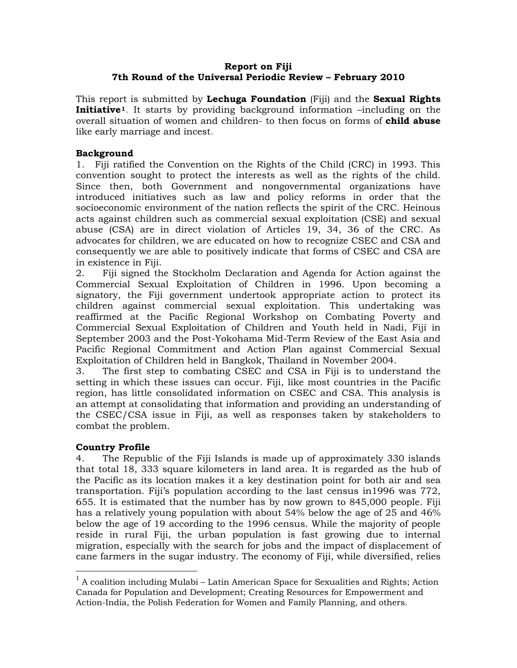# **Report on Fiji 7th Round of the Universal Periodic Review – February 2010**

This report is submitted by **Lechuga Foundation** (Fiji) and the **Sexual Rights Initiative[1](#page-0-0)**. It starts by providing background information –including on the overall situation of women and children- to then focus on forms of **child abuse** like early marriage and incest.

# **Background**

1. Fiji ratified the Convention on the Rights of the Child (CRC) in 1993. This convention sought to protect the interests as well as the rights of the child. Since then, both Government and nongovernmental organizations have introduced initiatives such as law and policy reforms in order that the socioeconomic environment of the nation reflects the spirit of the CRC. Heinous acts against children such as commercial sexual exploitation (CSE) and sexual abuse (CSA) are in direct violation of Articles 19, 34, 36 of the CRC. As advocates for children, we are educated on how to recognize CSEC and CSA and consequently we are able to positively indicate that forms of CSEC and CSA are in existence in Fiji.

2. Fiji signed the Stockholm Declaration and Agenda for Action against the Commercial Sexual Exploitation of Children in 1996. Upon becoming a signatory, the Fiji government undertook appropriate action to protect its children against commercial sexual exploitation. This undertaking was reaffirmed at the Pacific Regional Workshop on Combating Poverty and Commercial Sexual Exploitation of Children and Youth held in Nadi, Fiji in September 2003 and the Post-Yokohama Mid-Term Review of the East Asia and Pacific Regional Commitment and Action Plan against Commercial Sexual Exploitation of Children held in Bangkok, Thailand in November 2004.

3. The first step to combating CSEC and CSA in Fiji is to understand the setting in which these issues can occur. Fiji, like most countries in the Pacific region, has little consolidated information on CSEC and CSA. This analysis is an attempt at consolidating that information and providing an understanding of the CSEC/CSA issue in Fiji, as well as responses taken by stakeholders to combat the problem.

### **Country Profile**

 $\overline{a}$ 

4. The Republic of the Fiji Islands is made up of approximately 330 islands that total 18, 333 square kilometers in land area. It is regarded as the hub of the Pacific as its location makes it a key destination point for both air and sea transportation. Fiji's population according to the last census in1996 was 772, 655. It is estimated that the number has by now grown to 845,000 people. Fiji has a relatively young population with about 54% below the age of 25 and 46% below the age of 19 according to the 1996 census. While the majority of people reside in rural Fiji, the urban population is fast growing due to internal migration, especially with the search for jobs and the impact of displacement of cane farmers in the sugar industry. The economy of Fiji, while diversified, relies

<span id="page-0-0"></span> $1$  A coalition including Mulabi – Latin American Space for Sexualities and Rights; Action Canada for Population and Development; Creating Resources for Empowerment and Action-India, the Polish Federation for Women and Family Planning, and others.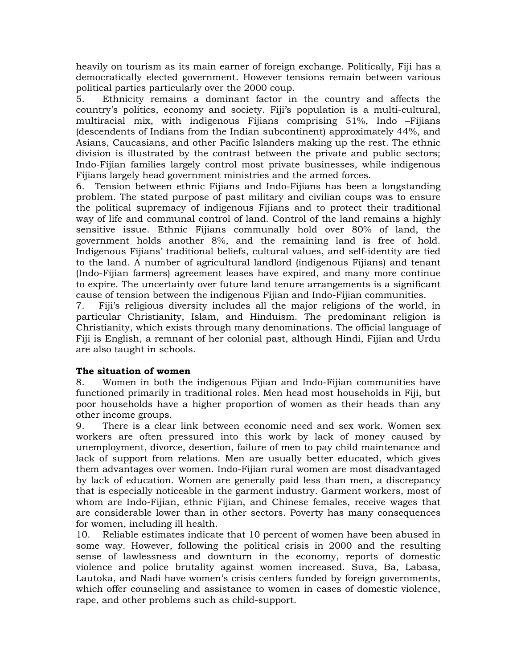heavily on tourism as its main earner of foreign exchange. Politically, Fiji has a democratically elected government. However tensions remain between various political parties particularly over the 2000 coup.

5. Ethnicity remains a dominant factor in the country and affects the country's politics, economy and society. Fiji's population is a multi-cultural, multiracial mix, with indigenous Fijians comprising 51%, Indo –Fijians (descendents of Indians from the Indian subcontinent) approximately 44%, and Asians, Caucasians, and other Pacific Islanders making up the rest. The ethnic division is illustrated by the contrast between the private and public sectors; Indo-Fijian families largely control most private businesses, while indigenous Fijians largely head government ministries and the armed forces.

6. Tension between ethnic Fijians and Indo-Fijians has been a longstanding problem. The stated purpose of past military and civilian coups was to ensure the political supremacy of indigenous Fijians and to protect their traditional way of life and communal control of land. Control of the land remains a highly sensitive issue. Ethnic Fijians communally hold over 80% of land, the government holds another 8%, and the remaining land is free of hold. Indigenous Fijians' traditional beliefs, cultural values, and self-identity are tied to the land. A number of agricultural landlord (indigenous Fijians) and tenant (Indo-Fijian farmers) agreement leases have expired, and many more continue to expire. The uncertainty over future land tenure arrangements is a significant cause of tension between the indigenous Fijian and Indo-Fijian communities.

7. Fiji's religious diversity includes all the major religions of the world, in particular Christianity, Islam, and Hinduism. The predominant religion is Christianity, which exists through many denominations. The official language of Fiji is English, a remnant of her colonial past, although Hindi, Fijian and Urdu are also taught in schools.

# **The situation of women**

8. Women in both the indigenous Fijian and Indo-Fijian communities have functioned primarily in traditional roles. Men head most households in Fiji, but poor households have a higher proportion of women as their heads than any other income groups.

9. There is a clear link between economic need and sex work. Women sex workers are often pressured into this work by lack of money caused by unemployment, divorce, desertion, failure of men to pay child maintenance and lack of support from relations. Men are usually better educated, which gives them advantages over women. Indo-Fijian rural women are most disadvantaged by lack of education. Women are generally paid less than men, a discrepancy that is especially noticeable in the garment industry. Garment workers, most of whom are Indo-Fijian, ethnic Fijian, and Chinese females, receive wages that are considerable lower than in other sectors. Poverty has many consequences for women, including ill health.

10. Reliable estimates indicate that 10 percent of women have been abused in some way. However, following the political crisis in 2000 and the resulting sense of lawlessness and downturn in the economy, reports of domestic violence and police brutality against women increased. Suva, Ba, Labasa, Lautoka, and Nadi have women's crisis centers funded by foreign governments, which offer counseling and assistance to women in cases of domestic violence, rape, and other problems such as child-support.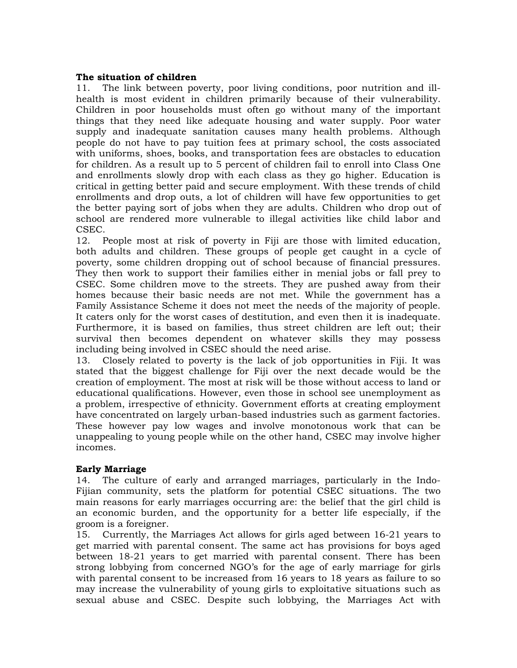# **The situation of children**

11. The link between poverty, poor living conditions, poor nutrition and illhealth is most evident in children primarily because of their vulnerability. Children in poor households must often go without many of the important things that they need like adequate housing and water supply. Poor water supply and inadequate sanitation causes many health problems. Although people do not have to pay tuition fees at primary school, the costs associated with uniforms, shoes, books, and transportation fees are obstacles to education for children. As a result up to 5 percent of children fail to enroll into Class One and enrollments slowly drop with each class as they go higher. Education is critical in getting better paid and secure employment. With these trends of child enrollments and drop outs, a lot of children will have few opportunities to get the better paying sort of jobs when they are adults. Children who drop out of school are rendered more vulnerable to illegal activities like child labor and CSEC.

12. People most at risk of poverty in Fiji are those with limited education, both adults and children. These groups of people get caught in a cycle of poverty, some children dropping out of school because of financial pressures. They then work to support their families either in menial jobs or fall prey to CSEC. Some children move to the streets. They are pushed away from their homes because their basic needs are not met. While the government has a Family Assistance Scheme it does not meet the needs of the majority of people. It caters only for the worst cases of destitution, and even then it is inadequate. Furthermore, it is based on families, thus street children are left out; their survival then becomes dependent on whatever skills they may possess including being involved in CSEC should the need arise.

13. Closely related to poverty is the lack of job opportunities in Fiji. It was stated that the biggest challenge for Fiji over the next decade would be the creation of employment. The most at risk will be those without access to land or educational qualifications. However, even those in school see unemployment as a problem, irrespective of ethnicity. Government efforts at creating employment have concentrated on largely urban-based industries such as garment factories. These however pay low wages and involve monotonous work that can be unappealing to young people while on the other hand, CSEC may involve higher incomes.

### **Early Marriage**

14. The culture of early and arranged marriages, particularly in the Indo-Fijian community, sets the platform for potential CSEC situations. The two main reasons for early marriages occurring are: the belief that the girl child is an economic burden, and the opportunity for a better life especially, if the groom is a foreigner.

15. Currently, the Marriages Act allows for girls aged between 16-21 years to get married with parental consent. The same act has provisions for boys aged between 18-21 years to get married with parental consent. There has been strong lobbying from concerned NGO's for the age of early marriage for girls with parental consent to be increased from 16 years to 18 years as failure to so may increase the vulnerability of young girls to exploitative situations such as sexual abuse and CSEC. Despite such lobbying, the Marriages Act with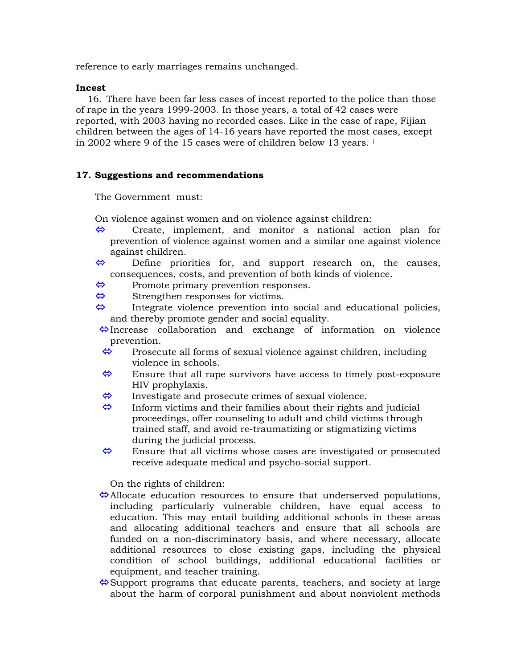reference to early marriages remains unchanged.

#### **Incest**

16. There have been far less cases of incest reported to the police than those of rape in the years 1999-2003. In those years, a total of 42 cases were reported, with 2003 having no recorded cases. Like in the case of rape, Fijian children between the ages of 14-16 years have reported the most cases, except in 2002 where 9 of the 15 cases were of children below 13 years. [i](#page-4-0)

### **17. Suggestions and recommendations**

The Government must:

On violence against women and on violence against children:

- $\Leftrightarrow$  Create, implement, and monitor a national action plan for prevention of violence against women and a similar one against violence against children.
- $\Leftrightarrow$  Define priorities for, and support research on, the causes, consequences, costs, and prevention of both kinds of violence.
- $\Leftrightarrow$  Promote primary prevention responses.
- $\leftrightarrow$  Strengthen responses for victims.<br>  $\leftrightarrow$  Integrate violence prevention into
- Integrate violence prevention into social and educational policies, and thereby promote gender and social equality.
- $\leftrightarrow$ Increase collaboration and exchange of information on violence prevention.
- $\leftrightarrow$  Prosecute all forms of sexual violence against children, including violence in schools.
- $\Leftrightarrow$  Ensure that all rape survivors have access to timely post-exposure HIV prophylaxis.
- $\leftrightarrow$  Investigate and prosecute crimes of sexual violence.
- $\Leftrightarrow$  Inform victims and their families about their rights and judicial proceedings, offer counseling to adult and child victims through trained staff, and avoid re-traumatizing or stigmatizing victims during the judicial process.
- $\Leftrightarrow$  Ensure that all victims whose cases are investigated or prosecuted receive adequate medical and psycho-social support.

On the rights of children:

- $\triangle$ Allocate education resources to ensure that underserved populations, including particularly vulnerable children, have equal access to education. This may entail building additional schools in these areas and allocating additional teachers and ensure that all schools are funded on a non-discriminatory basis, and where necessary, allocate additional resources to close existing gaps, including the physical condition of school buildings, additional educational facilities or equipment, and teacher training.
- $\Leftrightarrow$  Support programs that educate parents, teachers, and society at large about the harm of corporal punishment and about nonviolent methods